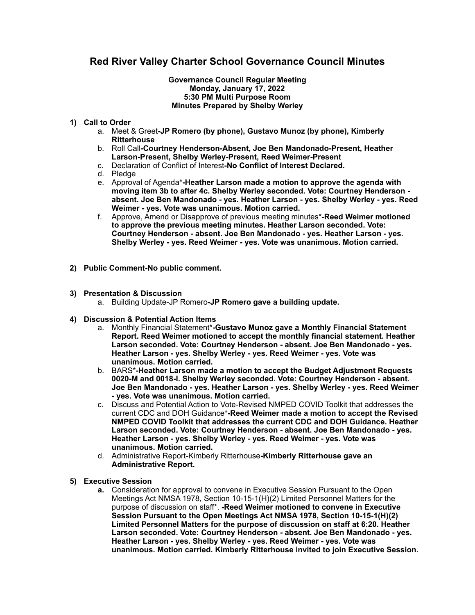## **Red River Valley Charter School Governance Council Minutes**

## **Governance Council Regular Meeting Monday, January 17, 2022 5:30 PM Multi Purpose Room Minutes Prepared by Shelby Werley**

## **1) Call to Order**

- a. Meet & Greet**-JP Romero (by phone), Gustavo Munoz (by phone), Kimberly Ritterhouse**
- b. Roll Call**-Courtney Henderson-Absent, Joe Ben Mandonado-Present, Heather Larson-Present, Shelby Werley-Present, Reed Weimer-Present**
- c. Declaration of Conflict of Interest**-No Conflict of Interest Declared.**
- d. Pledge
- e. Approval of Agenda\***-Heather Larson made a motion to approve the agenda with moving item 3b to after 4c. Shelby Werley seconded. Vote: Courtney Henderson absent. Joe Ben Mandonado - yes. Heather Larson - yes. Shelby Werley - yes. Reed Weimer - yes. Vote was unanimous. Motion carried.**
- f. Approve, Amend or Disapprove of previous meeting minutes\*-**Reed Weimer motioned to approve the previous meeting minutes. Heather Larson seconded. Vote: Courtney Henderson - absent. Joe Ben Mandonado - yes. Heather Larson - yes. Shelby Werley - yes. Reed Weimer - yes. Vote was unanimous. Motion carried.**
- **2) Public Comment-No public comment.**
- **3) Presentation & Discussion** 
	- a. Building Update-JP Romero**-JP Romero gave a building update.**
- **4) Discussion & Potential Action Items** 
	- a. Monthly Financial Statement\***-Gustavo Munoz gave a Monthly Financial Statement Report. Reed Weimer motioned to accept the monthly financial statement. Heather Larson seconded. Vote: Courtney Henderson - absent. Joe Ben Mandonado - yes. Heather Larson - yes. Shelby Werley - yes. Reed Weimer - yes. Vote was unanimous. Motion carried.**
	- b. BARS\***-Heather Larson made a motion to accept the Budget Adjustment Requests 0020-M and 0018-I. Shelby Werley seconded. Vote: Courtney Henderson - absent. Joe Ben Mandonado - yes. Heather Larson - yes. Shelby Werley - yes. Reed Weimer - yes. Vote was unanimous. Motion carried.**
	- c. Discuss and Potential Action to Vote-Revised NMPED COVID Toolkit that addresses the current CDC and DOH Guidance\***-Reed Weimer made a motion to accept the Revised NMPED COVID Toolkit that addresses the current CDC and DOH Guidance. Heather Larson seconded. Vote: Courtney Henderson - absent. Joe Ben Mandonado - yes. Heather Larson - yes. Shelby Werley - yes. Reed Weimer - yes. Vote was unanimous. Motion carried.**
	- d. Administrative Report-Kimberly Ritterhouse**-Kimberly Ritterhouse gave an Administrative Report.**
- **5) Executive Session** 
	- **a.** Consideration for approval to convene in Executive Session Pursuant to the Open Meetings Act NMSA 1978, Section 10-15-1(H)(2) Limited Personnel Matters for the purpose of discussion on staff\*. **-Reed Weimer motioned to convene in Executive Session Pursuant to the Open Meetings Act NMSA 1978, Section 10-15-1(H)(2) Limited Personnel Matters for the purpose of discussion on staff at 6:20. Heather Larson seconded. Vote: Courtney Henderson - absent. Joe Ben Mandonado - yes. Heather Larson - yes. Shelby Werley - yes. Reed Weimer - yes. Vote was unanimous. Motion carried. Kimberly Ritterhouse invited to join Executive Session.**